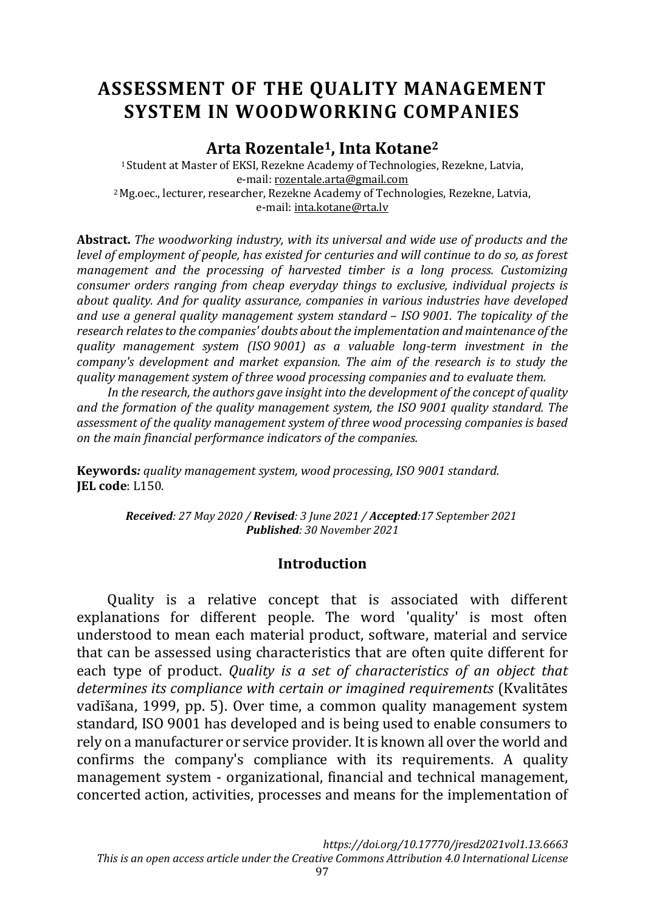# **ASSESSMENT OF THE QUALITY MANAGEMENT SYSTEM IN WOODWORKING COMPANIES**

**Arta Rozentale1, Inta Kotane<sup>2</sup>**

<sup>1</sup>Student at Master of EKSI, Rezekne Academy of Technologies, Rezekne, Latvia, e-mail[: rozentale.arta@gmail.com](mailto:rozentale.arta@gmail.com) <sup>2</sup>Mg.oec., lecturer, researcher, Rezekne Academy of Technologies, Rezekne, Latvia, e-mail[: inta.kotane@rta.lv](mailto:inta.kotane@rta.lv)

**Abstract.** *The woodworking industry, with its universal and wide use of products and the level of employment of people, has existed for centuries and will continue to do so, as forest management and the processing of harvested timber is a long process. Customizing consumer orders ranging from cheap everyday things to exclusive, individual projects is about quality. And for quality assurance, companies in various industries have developed and use a general quality management system standard – ISO 9001. The topicality of the research relatesto the companies' doubts about the implementation and maintenance of the quality management system (ISO 9001) as a valuable long-term investment in the company's development and market expansion. The aim of the research is to study the quality management system of three wood processing companies and to evaluate them.*

*In the research, the authors gave insight into the development of the concept of quality and the formation of the quality management system, the ISO 9001 quality standard. The assessment of the quality management system of three wood processing companies is based on the main financial performance indicators of the companies.*

**Keywords***: quality management system, wood processing, ISO 9001 standard.* **JEL code**: L150.

> *Received: 27 May 2020 / Revised: 3 June 2021 / Accepted:17 September 2021 Published: 30 November 2021*

#### **Introduction**

Quality is a relative concept that is associated with different explanations for different people. The word 'quality' is most often understood to mean each material product, software, material and service that can be assessed using characteristics that are often quite different for each type of product. *Quality is a set of characteristics of an object that determines its compliance with certain or imagined requirements* (Kvalitātes vadīšana, 1999, pp. 5). Over time, a common quality management system standard, ISO 9001 has developed and is being used to enable consumers to rely on a manufacturer or service provider. It is known all over the world and confirms the company's compliance with its requirements. A quality management system - organizational, financial and technical management, concerted action, activities, processes and means for the implementation of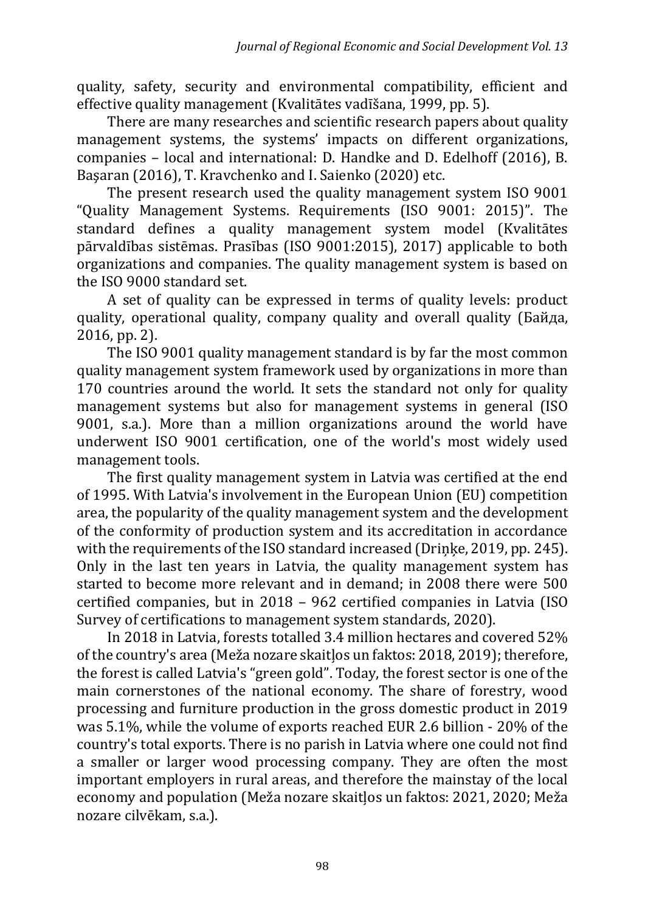quality, safety, security and environmental compatibility, efficient and effective quality management (Kvalitātes vadīšana, 1999, pp. 5).

There are many researches and scientific research papers about quality management systems, the systems' impacts on different organizations, companies – local and international: D. Handke and D. Edelhoff (2016), B. Başaran (2016), T. Kravchenko and I. Saienko (2020) etc.

The present research used the quality management system ISO 9001 "Quality Management Systems. Requirements (ISO 9001: 2015)". The standard defines a quality management system model (Kvalitātes pārvaldības sistēmas. Prasības (ISO 9001:2015), 2017) applicable to both organizations and companies. The quality management system is based on the ISO 9000 standard set.

A set of quality can be expressed in terms of quality levels: product quality, operational quality, company quality and overall quality (Байда, 2016, pp. 2).

The ISO 9001 quality management standard is by far the most common quality management system framework used by organizations in more than 170 countries around the world. It sets the standard not only for quality management systems but also for management systems in general (ISO 9001, s.a.). More than a million organizations around the world have underwent ISO 9001 certification, one of the world's most widely used management tools.

The first quality management system in Latvia was certified at the end of 1995. With Latvia's involvement in the European Union (EU) competition area, the popularity of the quality management system and the development of the conformity of production system and its accreditation in accordance with the requirements of the ISO standard increased (Drinke, 2019, pp. 245). Only in the last ten years in Latvia, the quality management system has started to become more relevant and in demand; in 2008 there were 500 certified companies, but in 2018 – 962 certified companies in Latvia (ISO Survey of certifications to management system standards, 2020).

In 2018 in Latvia, forests totalled 3.4 million hectares and covered 52% of the country's area (Meža nozare skaitļos un faktos: 2018, 2019); therefore, the forest is called Latvia's "green gold". Today, the forest sector is one of the main cornerstones of the national economy. The share of forestry, wood processing and furniture production in the gross domestic product in 2019 was 5.1%, while the volume of exports reached EUR 2.6 billion - 20% of the country's total exports. There is no parish in Latvia where one could not find a smaller or larger wood processing company. They are often the most important employers in rural areas, and therefore the mainstay of the local economy and population (Meža nozare skaitļos un faktos: 2021, 2020; Meža nozare cilvēkam, s.a.).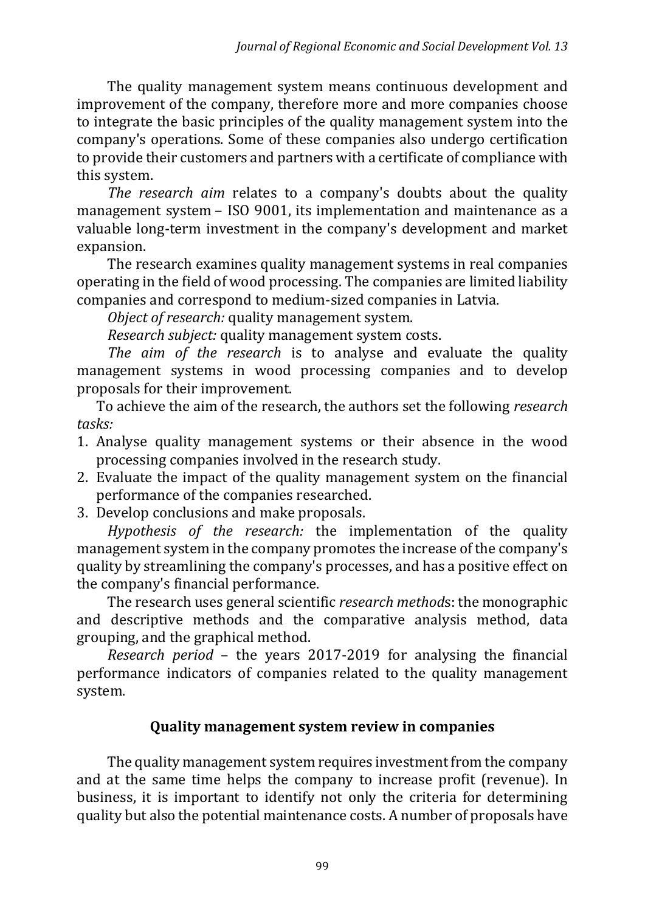The quality management system means continuous development and improvement of the company, therefore more and more companies choose to integrate the basic principles of the quality management system into the company's operations. Some of these companies also undergo certification to provide their customers and partners with a certificate of compliance with this system.

*The research aim* relates to a company's doubts about the quality management system – ISO 9001, its implementation and maintenance as a valuable long-term investment in the company's development and market expansion.

The research examines quality management systems in real companies operating in the field of wood processing. The companies are limited liability companies and correspond to medium-sized companies in Latvia.

*Object of research:* quality management system.

*Research subject:* quality management system costs.

*The aim of the research* is to analyse and evaluate the quality management systems in wood processing companies and to develop proposals for their improvement.

To achieve the aim of the research, the authors set the following *research tasks:*

- 1. Analyse quality management systems or their absence in the wood processing companies involved in the research study.
- 2. Evaluate the impact of the quality management system on the financial performance of the companies researched.
- 3. Develop conclusions and make proposals.

*Hypothesis of the research:* the implementation of the quality management system in the company promotes the increase of the company's quality by streamlining the company's processes, and has a positive effect on the company's financial performance.

The research uses general scientific *research method*s: the monographic and descriptive methods and the comparative analysis method, data grouping, and the graphical method.

*Research period* – the years 2017-2019 for analysing the financial performance indicators of companies related to the quality management system.

#### **Quality management system review in companies**

The quality management system requires investment from the company and at the same time helps the company to increase profit (revenue). In business, it is important to identify not only the criteria for determining quality but also the potential maintenance costs. A number of proposals have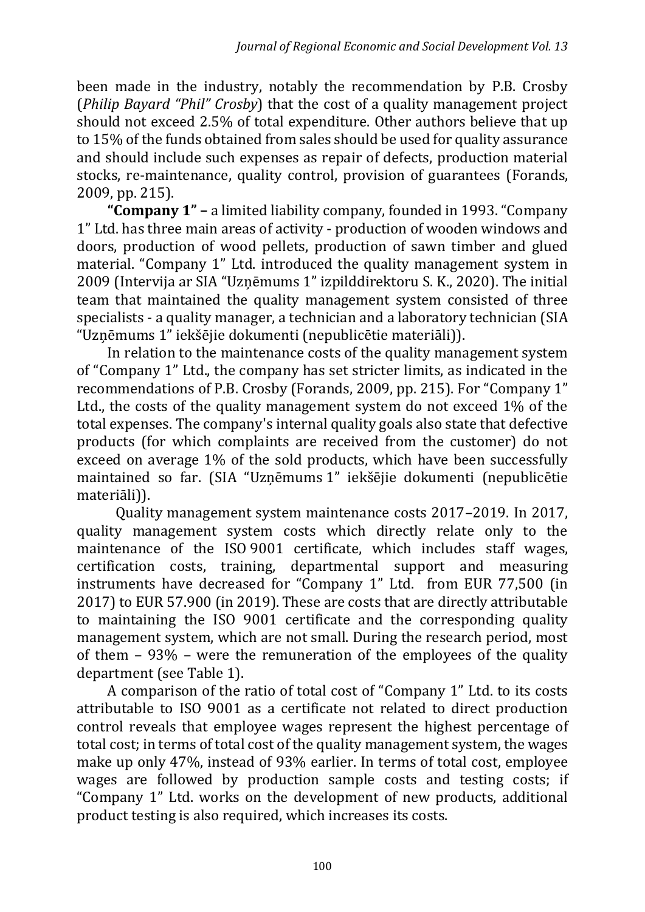been made in the industry, notably the recommendation by P.B. Crosby (*Philip Bayard "Phil" Crosby*) that the cost of a quality management project should not exceed 2.5% of total expenditure. Other authors believe that up to 15% of the funds obtained from sales should be used for quality assurance and should include such expenses as repair of defects, production material stocks, re-maintenance, quality control, provision of guarantees (Forands, 2009, pp. 215).

**"Company 1" –** a limited liability company, founded in 1993. "Company 1" Ltd. has three main areas of activity - production of wooden windows and doors, production of wood pellets, production of sawn timber and glued material. "Company 1" Ltd. introduced the quality management system in 2009 (Intervija ar SIA "Uzņēmums 1" izpilddirektoru S. K., 2020). The initial team that maintained the quality management system consisted of three specialists - a quality manager, a technician and a laboratory technician (SIA "Uzņēmums 1" iekšējie dokumenti (nepublicētie materiāli)).

In relation to the maintenance costs of the quality management system of "Company 1" Ltd., the company has set stricter limits, as indicated in the recommendations of P.B. Crosby (Forands, 2009, pp. 215). For "Company 1" Ltd., the costs of the quality management system do not exceed 1% of the total expenses. The company's internal quality goals also state that defective products (for which complaints are received from the customer) do not exceed on average 1% of the sold products, which have been successfully maintained so far. (SIA "Uzņēmums 1" iekšējie dokumenti (nepublicētie materiāli)).

Quality management system maintenance costs 2017–2019. In 2017, quality management system costs which directly relate only to the maintenance of the ISO 9001 certificate, which includes staff wages, certification costs, training, departmental support and measuring instruments have decreased for "Company 1" Ltd. from EUR 77,500 (in 2017) to EUR 57.900 (in 2019). These are costs that are directly attributable to maintaining the ISO 9001 certificate and the corresponding quality management system, which are not small. During the research period, most of them – 93% – were the remuneration of the employees of the quality department (see Table 1).

A comparison of the ratio of total cost of "Company 1" Ltd. to its costs attributable to ISO 9001 as a certificate not related to direct production control reveals that employee wages represent the highest percentage of total cost; in terms of total cost of the quality management system, the wages make up only 47%, instead of 93% earlier. In terms of total cost, employee wages are followed by production sample costs and testing costs; if "Company 1" Ltd. works on the development of new products, additional product testing is also required, which increases its costs.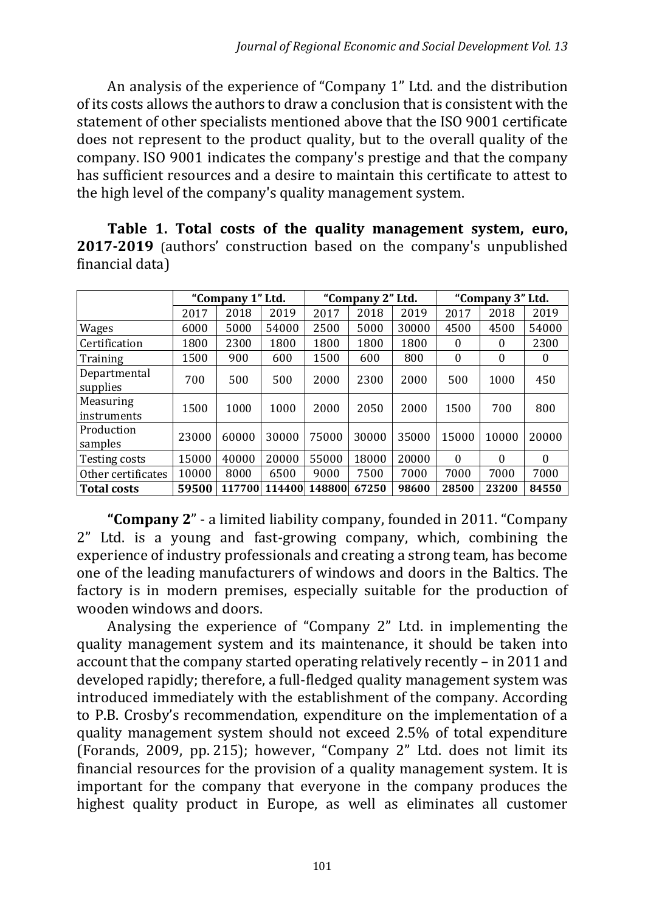An analysis of the experience of "Company 1" Ltd. and the distribution of its costs allows the authors to draw a conclusion that is consistent with the statement of other specialists mentioned above that the ISO 9001 certificate does not represent to the product quality, but to the overall quality of the company. ISO 9001 indicates the company's prestige and that the company has sufficient resources and a desire to maintain this certificate to attest to the high level of the company's quality management system.

**Table 1. Total costs of the quality management system, euro, 2017-2019** (authors' construction based on the company's unpublished financial data)

|                          | "Company 1" Ltd. |        |        | "Company 2" Ltd. |       |       | "Company 3" Ltd. |          |          |
|--------------------------|------------------|--------|--------|------------------|-------|-------|------------------|----------|----------|
|                          | 2017             | 2018   | 2019   | 2017             | 2018  | 2019  | 2017             | 2018     | 2019     |
| Wages                    | 6000             | 5000   | 54000  | 2500             | 5000  | 30000 | 4500             | 4500     | 54000    |
| Certification            | 1800             | 2300   | 1800   | 1800             | 1800  | 1800  | $\theta$         | 0        | 2300     |
| Training                 | 1500             | 900    | 600    | 1500             | 600   | 800   | $\mathbf{0}$     | $\theta$ | 0        |
| Departmental<br>supplies | 700              | 500    | 500    | 2000             | 2300  | 2000  | 500              | 1000     | 450      |
| Measuring<br>instruments | 1500             | 1000   | 1000   | 2000             | 2050  | 2000  | 1500             | 700      | 800      |
| Production<br>samples    | 23000            | 60000  | 30000  | 75000            | 30000 | 35000 | 15000            | 10000    | 20000    |
| Testing costs            | 15000            | 40000  | 20000  | 55000            | 18000 | 20000 | $\Omega$         | 0        | $\theta$ |
| Other certificates       | 10000            | 8000   | 6500   | 9000             | 7500  | 7000  | 7000             | 7000     | 7000     |
| <b>Total costs</b>       | 59500            | 117700 | 114400 | 148800           | 67250 | 98600 | 28500            | 23200    | 84550    |

**"Company 2**" - a limited liability company, founded in 2011. "Company 2" Ltd. is a young and fast-growing company, which, combining the experience of industry professionals and creating a strong team, has become one of the leading manufacturers of windows and doors in the Baltics. The factory is in modern premises, especially suitable for the production of wooden windows and doors.

Analysing the experience of "Company 2" Ltd. in implementing the quality management system and its maintenance, it should be taken into account that the company started operating relatively recently – in 2011 and developed rapidly; therefore, a full-fledged quality management system was introduced immediately with the establishment of the company. According to P.B. Crosby's recommendation, expenditure on the implementation of a quality management system should not exceed 2.5% of total expenditure (Forands, 2009, pp. 215); however, "Company 2" Ltd. does not limit its financial resources for the provision of a quality management system. It is important for the company that everyone in the company produces the highest quality product in Europe, as well as eliminates all customer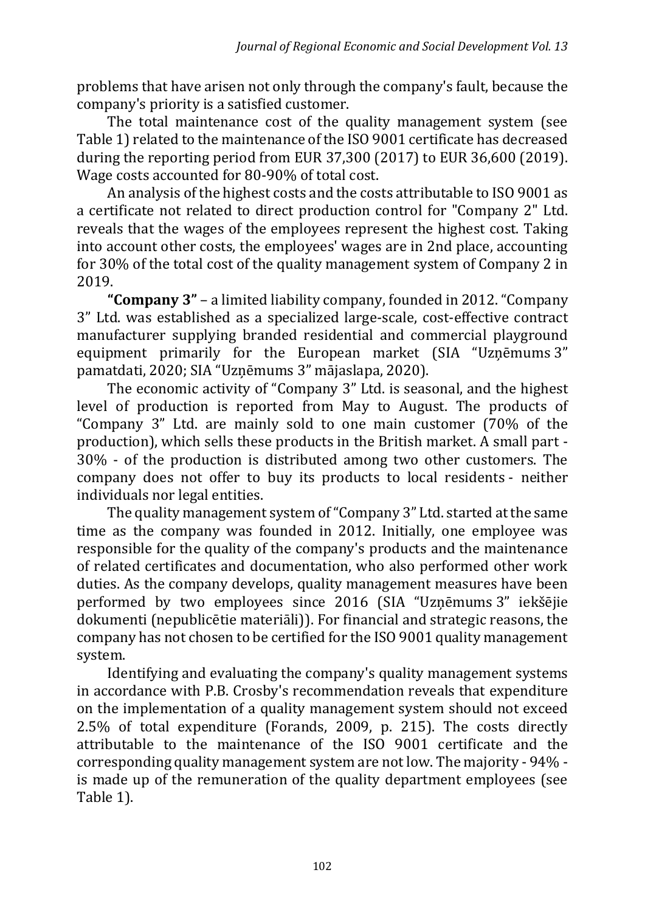problems that have arisen not only through the company's fault, because the company's priority is a satisfied customer.

The total maintenance cost of the quality management system (see Table 1) related to the maintenance of the ISO 9001 certificate has decreased during the reporting period from EUR 37,300 (2017) to EUR 36,600 (2019). Wage costs accounted for 80-90% of total cost.

An analysis of the highest costs and the costs attributable to ISO 9001 as a certificate not related to direct production control for "Company 2" Ltd. reveals that the wages of the employees represent the highest cost. Taking into account other costs, the employees' wages are in 2nd place, accounting for 30% of the total cost of the quality management system of Company 2 in 2019.

**"Company 3"** – a limited liability company, founded in 2012. "Company 3" Ltd. was established as a specialized large-scale, cost-effective contract manufacturer supplying branded residential and commercial playground equipment primarily for the European market (SIA "Uzņēmums 3" pamatdati, 2020; SIA "Uzņēmums 3" mājaslapa, 2020).

The economic activity of "Company 3" Ltd. is seasonal, and the highest level of production is reported from May to August. The products of "Company 3" Ltd. are mainly sold to one main customer (70% of the production), which sells these products in the British market. A small part - 30% - of the production is distributed among two other customers. The company does not offer to buy its products to local residents - neither individuals nor legal entities.

The quality management system of"Company 3" Ltd. started at the same time as the company was founded in 2012. Initially, one employee was responsible for the quality of the company's products and the maintenance of related certificates and documentation, who also performed other work duties. As the company develops, quality management measures have been performed by two employees since 2016 (SIA "Uzņēmums 3" iekšējie dokumenti (nepublicētie materiāli)). For financial and strategic reasons, the company has not chosen to be certified for the ISO 9001 quality management system.

Identifying and evaluating the company's quality management systems in accordance with P.B. Crosby's recommendation reveals that expenditure on the implementation of a quality management system should not exceed 2.5% of total expenditure (Forands, 2009, p. 215). The costs directly attributable to the maintenance of the ISO 9001 certificate and the corresponding quality management system are not low. The majority - 94% is made up of the remuneration of the quality department employees (see Table 1).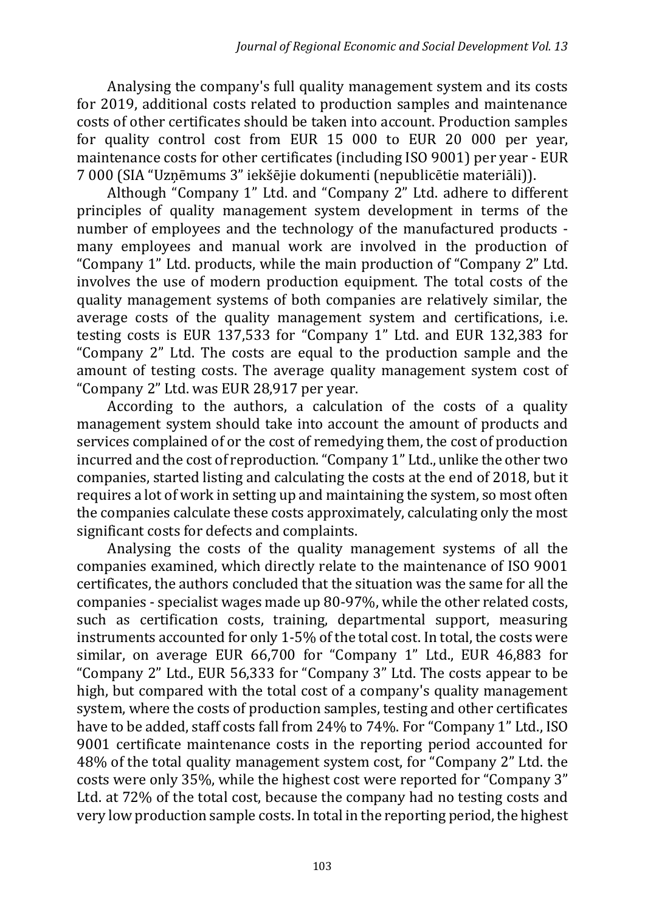Analysing the company's full quality management system and its costs for 2019, additional costs related to production samples and maintenance costs of other certificates should be taken into account. Production samples for quality control cost from EUR 15 000 to EUR 20 000 per year, maintenance costs for other certificates (including ISO 9001) per year - EUR 7 000 (SIA "Uzņēmums 3" iekšējie dokumenti (nepublicētie materiāli)).

Although "Company 1" Ltd. and "Company 2" Ltd. adhere to different principles of quality management system development in terms of the number of employees and the technology of the manufactured products many employees and manual work are involved in the production of "Company 1" Ltd. products, while the main production of "Company 2" Ltd. involves the use of modern production equipment. The total costs of the quality management systems of both companies are relatively similar, the average costs of the quality management system and certifications, i.e. testing costs is EUR 137,533 for "Company 1" Ltd. and EUR 132,383 for "Company 2" Ltd. The costs are equal to the production sample and the amount of testing costs. The average quality management system cost of "Company 2" Ltd. was EUR 28,917 per year.

According to the authors, a calculation of the costs of a quality management system should take into account the amount of products and services complained of or the cost of remedying them, the cost of production incurred and the cost of reproduction. "Company 1" Ltd., unlike the other two companies, started listing and calculating the costs at the end of 2018, but it requires a lot of work in setting up and maintaining the system, so most often the companies calculate these costs approximately, calculating only the most significant costs for defects and complaints.

Analysing the costs of the quality management systems of all the companies examined, which directly relate to the maintenance of ISO 9001 certificates, the authors concluded that the situation was the same for all the companies - specialist wages made up 80-97%, while the other related costs, such as certification costs, training, departmental support, measuring instruments accounted for only 1-5% of the total cost. In total, the costs were similar, on average EUR 66,700 for "Company 1" Ltd., EUR 46,883 for "Company 2" Ltd., EUR 56,333 for "Company 3" Ltd. The costs appear to be high, but compared with the total cost of a company's quality management system, where the costs of production samples, testing and other certificates have to be added, staff costs fall from 24% to 74%. For "Company 1" Ltd., ISO 9001 certificate maintenance costs in the reporting period accounted for 48% of the total quality management system cost, for "Company 2" Ltd. the costs were only 35%, while the highest cost were reported for "Company 3" Ltd. at 72% of the total cost, because the company had no testing costs and very low production sample costs. In total in the reporting period, the highest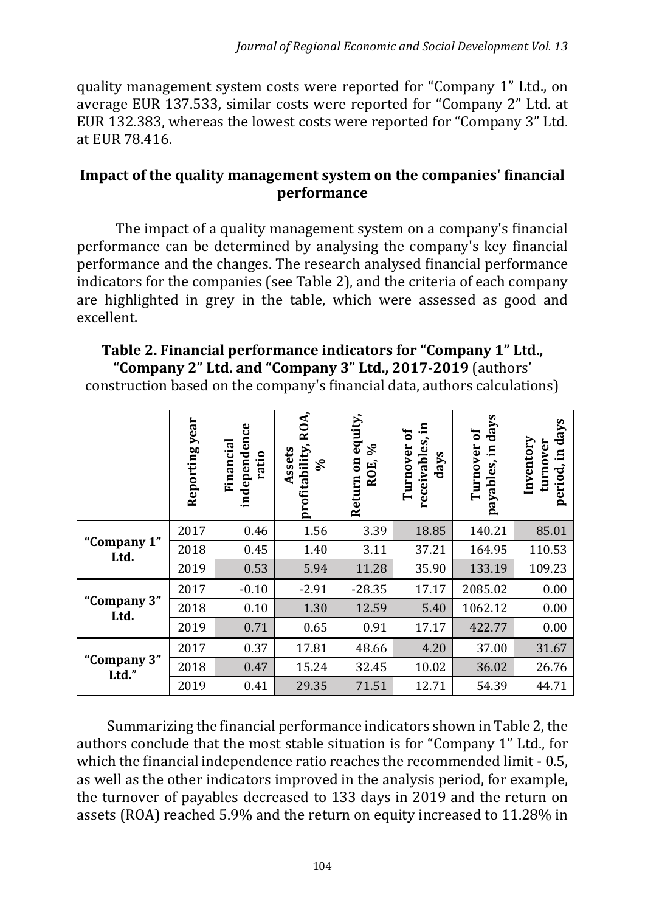quality management system costs were reported for "Company 1" Ltd., on average EUR 137.533, similar costs were reported for "Company 2" Ltd. at EUR 132.383, whereas the lowest costs were reported for "Company 3" Ltd. at EUR 78.416.

#### **Impact of the quality management system on the companies' financial performance**

The impact of a quality management system on a company's financial performance can be determined by analysing the company's key financial performance and the changes. The research analysed financial performance indicators for the companies (see Table 2), and the criteria of each company are highlighted in grey in the table, which were assessed as good and excellent.

### **Table 2. Financial performance indicators for "Company 1" Ltd., "Company 2" Ltd. and "Company 3" Ltd., 2017-2019** (authors'

construction based on the company's financial data, authors calculations)

|                      | Reporting year | ပ္ပ<br>independen<br>Financial<br>ratio | ROA,<br>profitability<br>Assets<br>వ్ | Return on equity,<br>వ<br>ROE, | E.<br>ð<br>receivables<br>Turnover<br>days | days<br>Turnover of<br>$\Xi$<br>payables, | days<br>Inventory<br>turnover<br>$\Xi$<br>period, |
|----------------------|----------------|-----------------------------------------|---------------------------------------|--------------------------------|--------------------------------------------|-------------------------------------------|---------------------------------------------------|
| "Company 1"<br>Ltd.  | 2017           | 0.46                                    | 1.56                                  | 3.39                           | 18.85                                      | 140.21                                    | 85.01                                             |
|                      | 2018           | 0.45                                    | 1.40                                  | 3.11                           | 37.21                                      | 164.95                                    | 110.53                                            |
|                      | 2019           | 0.53                                    | 5.94                                  | 11.28                          | 35.90                                      | 133.19                                    | 109.23                                            |
| "Company 3"<br>Ltd.  | 2017           | $-0.10$                                 | $-2.91$                               | $-28.35$                       | 17.17                                      | 2085.02                                   | 0.00                                              |
|                      | 2018           | 0.10                                    | 1.30                                  | 12.59                          | 5.40                                       | 1062.12                                   | 0.00                                              |
|                      | 2019           | 0.71                                    | 0.65                                  | 0.91                           | 17.17                                      | 422.77                                    | 0.00                                              |
| "Company 3"<br>Ltd." | 2017           | 0.37                                    | 17.81                                 | 48.66                          | 4.20                                       | 37.00                                     | 31.67                                             |
|                      | 2018           | 0.47                                    | 15.24                                 | 32.45                          | 10.02                                      | 36.02                                     | 26.76                                             |
|                      | 2019           | 0.41                                    | 29.35                                 | 71.51                          | 12.71                                      | 54.39                                     | 44.71                                             |

Summarizing the financial performance indicators shown in Table 2, the authors conclude that the most stable situation is for "Company 1" Ltd., for which the financial independence ratio reaches the recommended limit - 0.5, as well as the other indicators improved in the analysis period, for example, the turnover of payables decreased to 133 days in 2019 and the return on assets (ROA) reached 5.9% and the return on equity increased to 11.28% in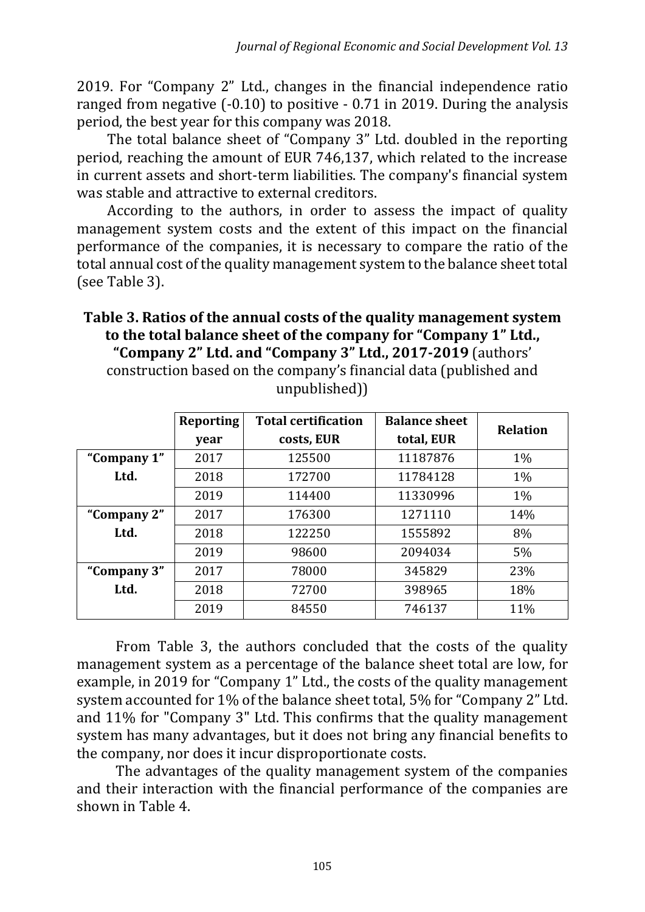2019. For "Company 2" Ltd., changes in the financial independence ratio ranged from negative (-0.10) to positive - 0.71 in 2019. During the analysis period, the best year for this company was 2018.

The total balance sheet of "Company 3" Ltd. doubled in the reporting period, reaching the amount of EUR 746,137, which related to the increase in current assets and short-term liabilities. The company's financial system was stable and attractive to external creditors.

According to the authors, in order to assess the impact of quality management system costs and the extent of this impact on the financial performance of the companies, it is necessary to compare the ratio of the total annual cost of the quality management system to the balance sheet total (see Table 3).

**Table 3. Ratios of the annual costs of the quality management system to the total balance sheet of the company for "Company 1" Ltd., "Company 2" Ltd. and "Company 3" Ltd., 2017-2019** (authors' construction based on the company's financial data (published and unpublished))

|             | <b>Reporting</b> | <b>Total certification</b> | <b>Balance sheet</b> | <b>Relation</b> |  |
|-------------|------------------|----------------------------|----------------------|-----------------|--|
|             | year             | costs, EUR                 | total, EUR           |                 |  |
| "Company 1" | 2017             | 125500                     | 11187876             | $1\%$           |  |
| Ltd.        | 2018             | 172700                     | 11784128             | $1\%$           |  |
|             | 2019             | 114400                     | 11330996             | $1\%$           |  |
| "Company 2" | 2017             | 176300                     | 1271110              | 14%             |  |
| Ltd.        | 2018             | 122250                     | 1555892              | 8%              |  |
|             | 2019             | 98600                      | 2094034              | 5%              |  |
| "Company 3" | 2017             | 78000                      | 345829               | 23%             |  |
| Ltd.        | 2018             | 72700                      | 398965               | 18%             |  |
|             | 2019             | 84550                      | 746137               | 11%             |  |

From Table 3, the authors concluded that the costs of the quality management system as a percentage of the balance sheet total are low, for example, in 2019 for "Company 1" Ltd., the costs of the quality management system accounted for 1% of the balance sheet total, 5% for "Company 2" Ltd. and 11% for "Company 3" Ltd. This confirms that the quality management system has many advantages, but it does not bring any financial benefits to the company, nor does it incur disproportionate costs.

The advantages of the quality management system of the companies and their interaction with the financial performance of the companies are shown in Table 4.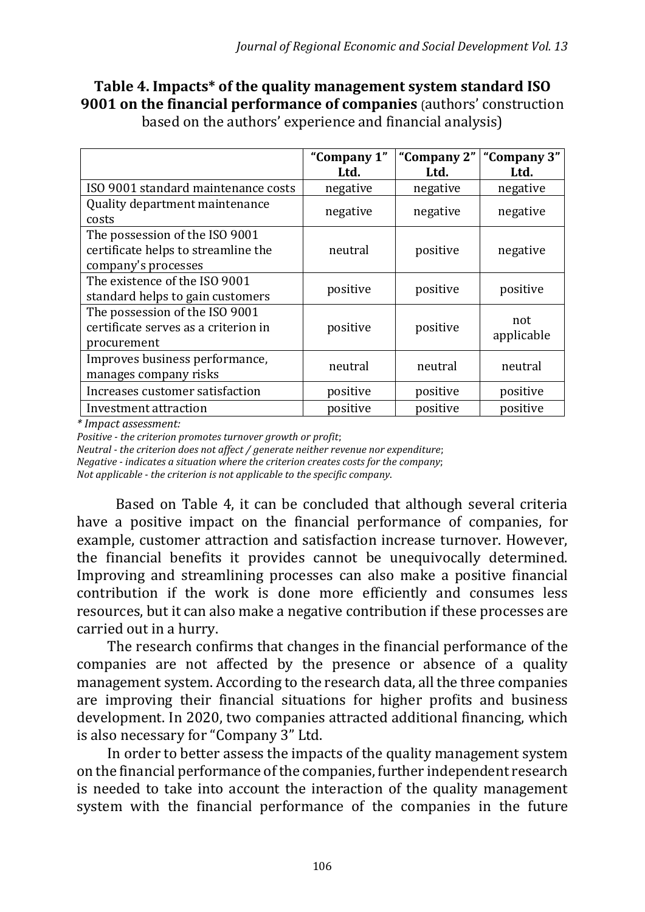# **Table 4. Impacts\* of the quality management system standard ISO 9001 on the financial performance of companies** (authors' construction

|                                      | "Company 1" | "Company 2" | "Company 3" |  |
|--------------------------------------|-------------|-------------|-------------|--|
|                                      | Ltd.        | Ltd.        | Ltd.        |  |
| ISO 9001 standard maintenance costs  | negative    | negative    | negative    |  |
| Quality department maintenance       |             |             |             |  |
| costs                                | negative    | negative    | negative    |  |
| The possession of the ISO 9001       |             |             |             |  |
| certificate helps to streamline the  | neutral     | positive    | negative    |  |
| company's processes                  |             |             |             |  |
| The existence of the ISO 9001        | positive    |             |             |  |
| standard helps to gain customers     |             | positive    | positive    |  |
| The possession of the ISO 9001       |             |             | not         |  |
| certificate serves as a criterion in | positive    | positive    | applicable  |  |
| procurement                          |             |             |             |  |
| Improves business performance,       | neutral     | neutral     | neutral     |  |
| manages company risks                |             |             |             |  |
| Increases customer satisfaction      | positive    | positive    | positive    |  |
| Investment attraction                | positive    | positive    | positive    |  |

based on the authors' experience and financial analysis)

*\* Impact assessment:*

*Positive - the criterion promotes turnover growth or profit*;

*Neutral - the criterion does not affect / generate neither revenue nor expenditure*;

*Negative - indicates a situation where the criterion creates costs for the company*;

*Not applicable - the criterion is not applicable to the specific company*.

Based on Table 4, it can be concluded that although several criteria have a positive impact on the financial performance of companies, for example, customer attraction and satisfaction increase turnover. However, the financial benefits it provides cannot be unequivocally determined. Improving and streamlining processes can also make a positive financial contribution if the work is done more efficiently and consumes less resources, but it can also make a negative contribution if these processes are carried out in a hurry.

The research confirms that changes in the financial performance of the companies are not affected by the presence or absence of a quality management system. According to the research data, all the three companies are improving their financial situations for higher profits and business development. In 2020, two companies attracted additional financing, which is also necessary for "Company 3" Ltd.

In order to better assess the impacts of the quality management system on the financial performance of the companies, further independent research is needed to take into account the interaction of the quality management system with the financial performance of the companies in the future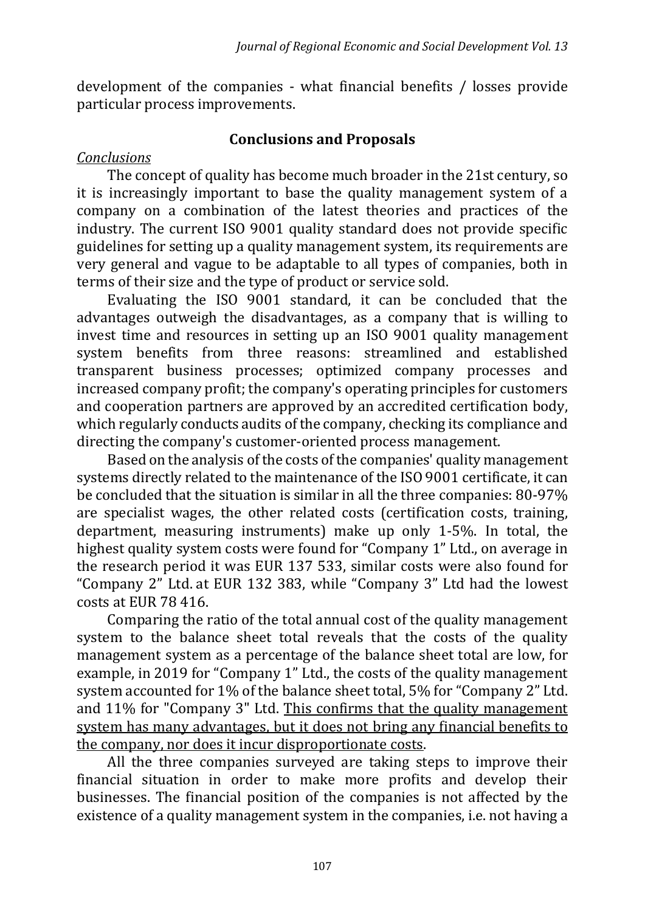development of the companies - what financial benefits / losses provide particular process improvements.

#### **Conclusions and Proposals**

### *Conclusions*

The concept of quality has become much broader in the 21st century, so it is increasingly important to base the quality management system of a company on a combination of the latest theories and practices of the industry. The current ISO 9001 quality standard does not provide specific guidelines for setting up a quality management system, its requirements are very general and vague to be adaptable to all types of companies, both in terms of their size and the type of product or service sold.

Evaluating the ISO 9001 standard, it can be concluded that the advantages outweigh the disadvantages, as a company that is willing to invest time and resources in setting up an ISO 9001 quality management system benefits from three reasons: streamlined and established transparent business processes; optimized company processes and increased company profit; the company's operating principles for customers and cooperation partners are approved by an accredited certification body, which regularly conducts audits of the company, checking its compliance and directing the company's customer-oriented process management.

Based on the analysis of the costs of the companies' quality management systems directly related to the maintenance of the ISO 9001 certificate, it can be concluded that the situation is similar in all the three companies: 80-97% are specialist wages, the other related costs (certification costs, training, department, measuring instruments) make up only 1-5%. In total, the highest quality system costs were found for "Company 1" Ltd., on average in the research period it was EUR 137 533, similar costs were also found for "Company 2" Ltd. at EUR 132 383, while "Company 3" Ltd had the lowest costs at EUR 78 416.

Comparing the ratio of the total annual cost of the quality management system to the balance sheet total reveals that the costs of the quality management system as a percentage of the balance sheet total are low, for example, in 2019 for "Company 1" Ltd., the costs of the quality management system accounted for 1% of the balance sheet total, 5% for "Company 2" Ltd. and 11% for "Company 3" Ltd. This confirms that the quality management system has many advantages, but it does not bring any financial benefits to the company, nor does it incur disproportionate costs.

All the three companies surveyed are taking steps to improve their financial situation in order to make more profits and develop their businesses. The financial position of the companies is not affected by the existence of a quality management system in the companies, i.e. not having a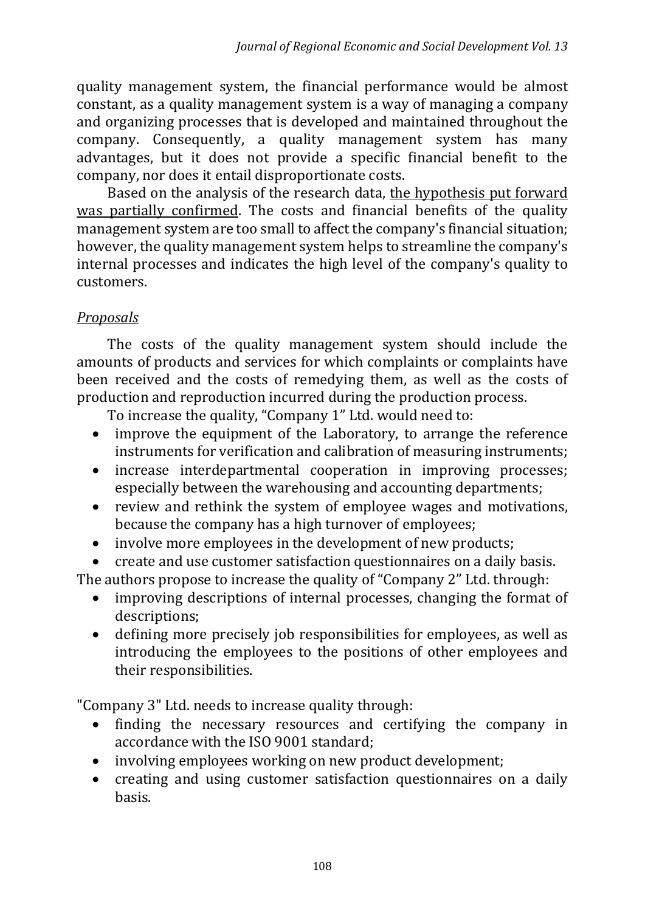quality management system, the financial performance would be almost constant, as a quality management system is a way of managing a company and organizing processes that is developed and maintained throughout the company. Consequently, a quality management system has many advantages, but it does not provide a specific financial benefit to the company, nor does it entail disproportionate costs.

Based on the analysis of the research data, the hypothesis put forward was partially confirmed. The costs and financial benefits of the quality management system are too small to affect the company's financial situation; however, the quality management system helps to streamline the company's internal processes and indicates the high level of the company's quality to customers.

## *Proposals*

The costs of the quality management system should include the amounts of products and services for which complaints or complaints have been received and the costs of remedying them, as well as the costs of production and reproduction incurred during the production process.

To increase the quality, "Company 1" Ltd. would need to:

- improve the equipment of the Laboratory, to arrange the reference instruments for verification and calibration of measuring instruments;
- increase interdepartmental cooperation in improving processes; especially between the warehousing and accounting departments;
- review and rethink the system of employee wages and motivations, because the company has a high turnover of employees;
- involve more employees in the development of new products;
- create and use customer satisfaction questionnaires on a daily basis.

The authors propose to increase the quality of "Company 2" Ltd. through:

- improving descriptions of internal processes, changing the format of descriptions;
- defining more precisely job responsibilities for employees, as well as introducing the employees to the positions of other employees and their responsibilities.

"Company 3" Ltd. needs to increase quality through:

- finding the necessary resources and certifying the company in accordance with the ISO 9001 standard;
- involving employees working on new product development;
- creating and using customer satisfaction questionnaires on a daily basis.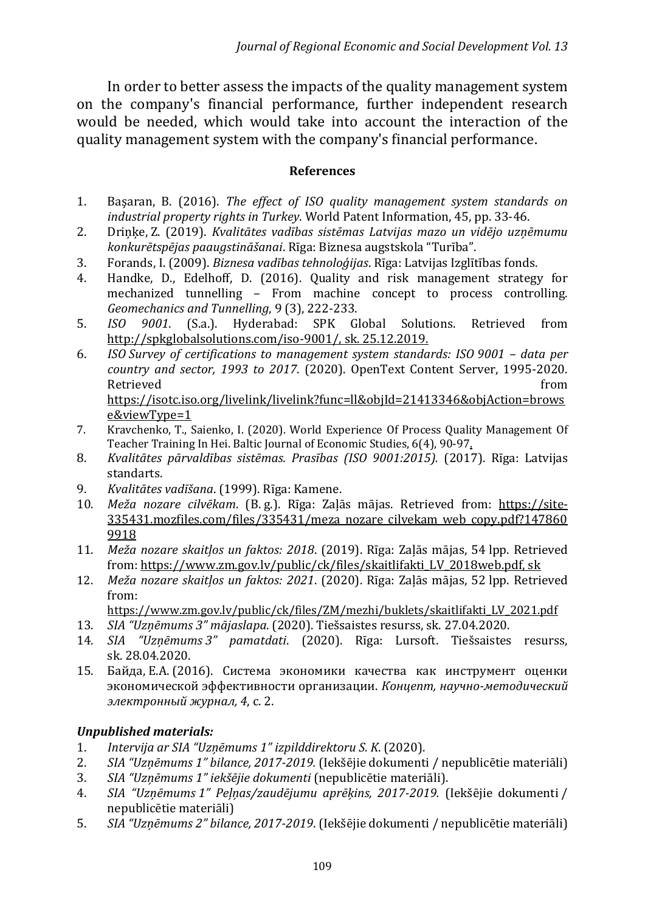In order to better assess the impacts of the quality management system on the company's financial performance, further independent research would be needed, which would take into account the interaction of the quality management system with the company's financial performance.

#### **References**

- 1. Başaran, B. (2016). *The effect of ISO quality management system standards on industrial property rights in Turkey*. World Patent Information, 45, pp. 33-46.
- 2. Driņķe, Z. (2019). *Kvalitātes vadības sistēmas Latvijas mazo un vidējo uzņēmumu konkurētspējas paaugstināšanai*. Rīga: Biznesa augstskola "Turība".
- 3. Forands, I. (2009). *Biznesa vadības tehnoloģijas*. Rīga: Latvijas Izglītības fonds.
- 4. Handke, D., Edelhoff, D. (2016). Quality and risk management strategy for mechanized tunnelling – From machine concept to process controlling. *Geomechanics and Tunnelling*, 9 (3), 222-233.
- 5. *ISO 9001*. (S.a.). Hyderabad: SPK Global Solutions. Retrieved from [http://spkglobalsolutions.com/iso-9001/,](http://spkglobalsolutions.com/iso-9001/) sk. 25.12.2019.
- 6. *ISO Survey of certifications to management system standards: ISO 9001 – data per country and sector, 1993 to 2017*. (2020). OpenText Content Server, 1995-2020. Retrieved **from** the contract of the contract of the contract of the contract of the contract of the contract of the contract of the contract of the contract of the contract of the contract of the contract of the contract [https://isotc.iso.org/livelink/livelink?func=ll&objId=21413346&objAction=brows](https://isotc.iso.org/livelink/livelink?func=ll&objId=21413346&objAction=browse&viewType=1) [e&viewType=1](https://isotc.iso.org/livelink/livelink?func=ll&objId=21413346&objAction=browse&viewType=1)
- 7. Kravchenko, T., Saienko, I. (2020). World Experience Of Process Quality Management Of Teacher Training In Hei. Baltic Journal of Economic Studies, 6(4), 90-97.
- 8. *Kvalitātes pārvaldības sistēmas. Prasības (ISO 9001:2015).* (2017). Rīga: Latvijas standarts.
- 9. *Kvalitātes vadīšana*. (1999). Rīga: Kamene.
- 10. *Meža nozare cilvēkam*. (B. g.). Rīga: Zaļās mājas. Retrieved from: https://site-335431.mozfiles.com/files/335431/meza\_nozare\_cilvekam\_web\_copy.pdf?147860 9918
- 11. *Meža nozare skaitļos un faktos: 2018*. (2019). Rīga: Zaļās mājas, 54 lpp. Retrieved from: https://www.zm.gov.lv/public/ck/files/skaitlifakti\_LV\_2018web.pdf, sk
- 12. *Meža nozare skaitļos un faktos: 2021*. (2020). Rīga: Zaļās mājas, 52 lpp. Retrieved from:
	- https://www.zm.gov.lv/public/ck/files/ZM/mezhi/buklets/skaitlifakti\_LV\_2021.pdf
- 13. *SIA "Uzņēmums 3" mājaslapa*. (2020). Tiešsaistes resurss, sk. 27.04.2020.
- 14. *SIA "Uzņēmums 3" pamatdati*. (2020). Rīga: Lursoft. Tiešsaistes resurss, sk. 28.04.2020.
- 15. Байда, Е.А. (2016). Система экономики качества как инструмент оценки экономической эффективности организации. *Концепт, научно-методический электронный журнал, 4*, с. 2.

#### *Unpublished materials:*

- 1. *Intervija ar SIA "Uzņēmums 1" izpilddirektoru S. K*. (2020).
- 2. *SIA "Uzņēmums 1" bilance, 2017-2019.* (Iekšējie dokumenti / nepublicētie materiāli)
- 3. *SIA "Uzņēmums 1" iekšējie dokumenti* (nepublicētie materiāli).
- 4. *SIA "Uzņēmums 1" Peļņas/zaudējumu aprēķins, 2017-2019.* (Iekšējie dokumenti / nepublicētie materiāli)
- 5. *SIA "Uzņēmums 2" bilance, 2017-2019*. (Iekšējie dokumenti / nepublicētie materiāli)